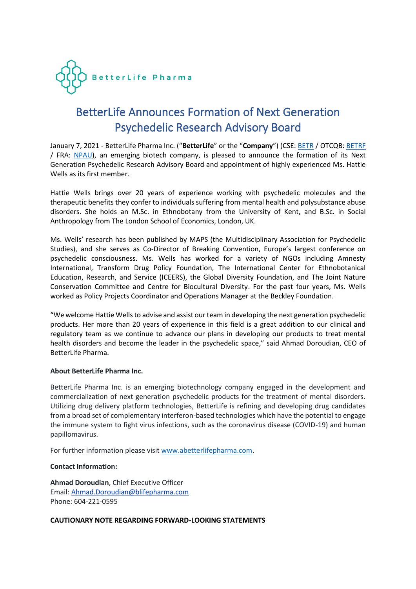

## BetterLife Announces Formation of Next Generation Psychedelic Research Advisory Board

January 7, 2021 - BetterLife Pharma Inc. ("**BetterLife**" or the "**Company**") (CSE: [BETR](https://www.thecse.com/en/listings/life-sciences/betterlife-pharma-inc) / OTCQB[: BETRF](https://www.otcmarkets.com/stock/BETRF/overview) / FRA: [NPAU\)](https://www.tradegate.de/orderbuch.php?lang=en&isin=CA08772P2026), an emerging biotech company, is pleased to announce the formation of its Next Generation Psychedelic Research Advisory Board and appointment of highly experienced Ms. Hattie Wells as its first member.

Hattie Wells brings over 20 years of experience working with psychedelic molecules and the therapeutic benefits they confer to individuals suffering from mental health and polysubstance abuse disorders. She holds an M.Sc. in Ethnobotany from the University of Kent, and B.Sc. in Social Anthropology from The London School of Economics, London, UK.

Ms. Wells' research has been published by MAPS (the Multidisciplinary Association for Psychedelic Studies), and she serves as Co-Director of Breaking Convention, Europe's largest conference on psychedelic consciousness. Ms. Wells has worked for a variety of NGOs including Amnesty International, Transform Drug Policy Foundation, The International Center for Ethnobotanical Education, Research, and Service (ICEERS), the Global Diversity Foundation, and The Joint Nature Conservation Committee and Centre for Biocultural Diversity. For the past four years, Ms. Wells worked as Policy Projects Coordinator and Operations Manager at the Beckley Foundation.

"We welcome Hattie Wells to advise and assist our team in developing the next generation psychedelic products. Her more than 20 years of experience in this field is a great addition to our clinical and regulatory team as we continue to advance our plans in developing our products to treat mental health disorders and become the leader in the psychedelic space," said Ahmad Doroudian, CEO of BetterLife Pharma.

## **About BetterLife Pharma Inc.**

BetterLife Pharma Inc. is an emerging biotechnology company engaged in the development and commercialization of next generation psychedelic products for the treatment of mental disorders. Utilizing drug delivery platform technologies, BetterLife is refining and developing drug candidates from a broad set of complementary interferon-based technologies which have the potential to engage the immune system to fight virus infections, such as the coronavirus disease (COVID-19) and human papillomavirus.

For further information please visit [www.abetterlifepharma.com.](https://abetterlifepharma.com/about/)

## **Contact Information:**

**Ahmad Doroudian**, Chief Executive Officer Email: [Ahmad.Doroudian@blifepharma.com](mailto:ahmad.doroudian@blifepharma.com?subject=Inquiry) Phone: 604-221-0595

## **CAUTIONARY NOTE REGARDING FORWARD-LOOKING STATEMENTS**